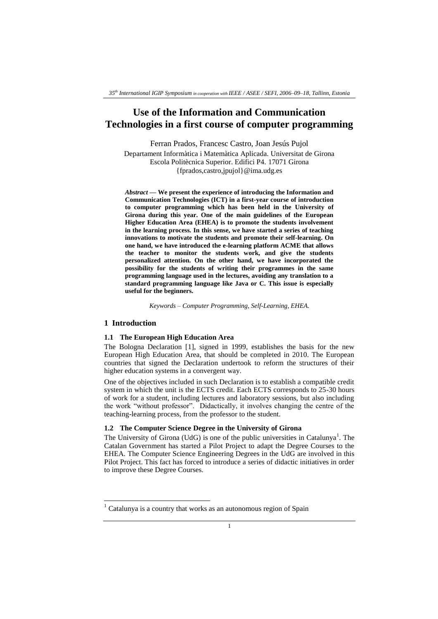# **Use of the Information and Communication Technologies in a first course of computer programming**

Ferran Prados, Francesc Castro, Joan Jesús Pujol

Departament Informàtica i Matemàtica Aplicada. Universitat de Girona Escola Politècnica Superior. Edifici P4. 17071 Girona {fprados,castro,jpujol}@ima.udg.es

*Abstract* **— We present the experience of introducing the Information and Communication Technologies (ICT) in a first-year course of introduction to computer programming which has been held in the University of Girona during this year. One of the main guidelines of the European Higher Education Area (EHEA) is to promote the students involvement in the learning process. In this sense, we have started a series of teaching innovations to motivate the students and promote their self-learning. On one hand, we have introduced the e-learning platform ACME that allows the teacher to monitor the students work, and give the students personalized attention. On the other hand, we have incorporated the possibility for the students of writing their programmes in the same programming language used in the lectures, avoiding any translation to a standard programming language like Java or C. This issue is especially useful for the beginners.** 

*Keywords – Computer Programming, Self-Learning, EHEA.*

## **1 Introduction**

1

### **1.1 The European High Education Area**

The Bologna Declaration [1], signed in 1999, establishes the basis for the new European High Education Area, that should be completed in 2010. The European countries that signed the Declaration undertook to reform the structures of their higher education systems in a convergent way.

One of the objectives included in such Declaration is to establish a compatible credit system in which the unit is the ECTS credit. Each ECTS corresponds to 25-30 hours of work for a student, including lectures and laboratory sessions, but also including the work "without professor". Didactically, it involves changing the centre of the teaching-learning process, from the professor to the student.

## **1.2 The Computer Science Degree in the University of Girona**

The University of Girona (UdG) is one of the public universities in Catalunya<sup>1</sup>. The Catalan Government has started a Pilot Project to adapt the Degree Courses to the EHEA. The Computer Science Engineering Degrees in the UdG are involved in this Pilot Project. This fact has forced to introduce a series of didactic initiatives in order to improve these Degree Courses.

Catalunya is a country that works as an autonomous region of Spain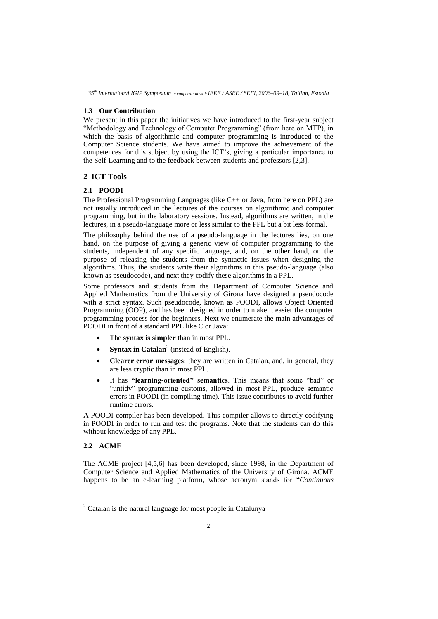#### **1.3 Our Contribution**

We present in this paper the initiatives we have introduced to the first-year subject "Methodology and Technology of Computer Programming" (from here on MTP), in which the basis of algorithmic and computer programming is introduced to the Computer Science students. We have aimed to improve the achievement of the competences for this subject by using the ICT's, giving a particular importance to the Self-Learning and to the feedback between students and professors [2,3].

# **2 ICT Tools**

### **2.1 POODI**

The Professional Programming Languages (like C++ or Java, from here on PPL) are not usually introduced in the lectures of the courses on algorithmic and computer programming, but in the laboratory sessions. Instead, algorithms are written, in the lectures, in a pseudo-language more or less similar to the PPL but a bit less formal.

The philosophy behind the use of a pseudo-language in the lectures lies, on one hand, on the purpose of giving a generic view of computer programming to the students, independent of any specific language, and, on the other hand, on the purpose of releasing the students from the syntactic issues when designing the algorithms. Thus, the students write their algorithms in this pseudo-language (also known as pseudocode), and next they codify these algorithms in a PPL.

Some professors and students from the Department of Computer Science and Applied Mathematics from the University of Girona have designed a pseudocode with a strict syntax. Such pseudocode, known as POODI, allows Object Oriented Programming (OOP), and has been designed in order to make it easier the computer programming process for the beginners. Next we enumerate the main advantages of POODI in front of a standard PPL like C or Java:

- The **syntax is simpler** than in most PPL.
- **Syntax in Catalan**<sup>2</sup> (instead of English).
- **Clearer error messages**: they are written in Catalan, and, in general, they are less cryptic than in most PPL.
- It has **"learning-oriented" semantics**. This means that some "bad" or "untidy" programming customs, allowed in most PPL, produce semantic errors in POODI (in compiling time). This issue contributes to avoid further runtime errors.

A POODI compiler has been developed. This compiler allows to directly codifying in POODI in order to run and test the programs. Note that the students can do this without knowledge of any PPL.

# **2.2 ACME**

 $\overline{a}$ 

The ACME project [4,5,6] has been developed, since 1998, in the Department of Computer Science and Applied Mathematics of the University of Girona. ACME happens to be an e-learning platform, whose acronym stands for "*Continuous* 

 $2$  Catalan is the natural language for most people in Catalunya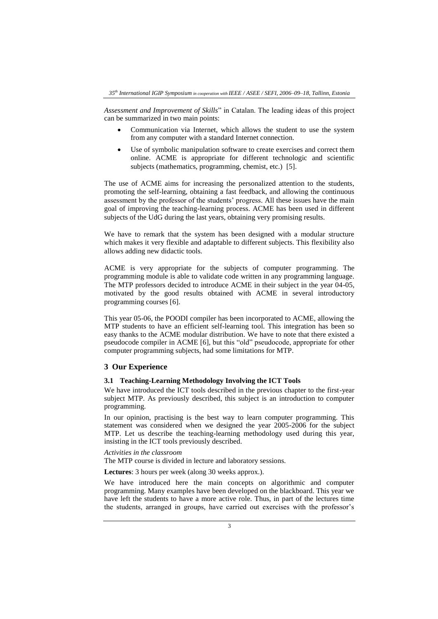*Assessment and Improvement of Skills*" in Catalan. The leading ideas of this project can be summarized in two main points:

- Communication via Internet, which allows the student to use the system from any computer with a standard Internet connection.
- Use of symbolic manipulation software to create exercises and correct them online. ACME is appropriate for different technologic and scientific subjects (mathematics, programming, chemist, etc.) [5].

The use of ACME aims for increasing the personalized attention to the students, promoting the self-learning, obtaining a fast feedback, and allowing the continuous assessment by the professor of the students' progress. All these issues have the main goal of improving the teaching-learning process. ACME has been used in different subjects of the UdG during the last years, obtaining very promising results.

We have to remark that the system has been designed with a modular structure which makes it very flexible and adaptable to different subjects. This flexibility also allows adding new didactic tools.

ACME is very appropriate for the subjects of computer programming. The programming module is able to validate code written in any programming language. The MTP professors decided to introduce ACME in their subject in the year 04-05, motivated by the good results obtained with ACME in several introductory programming courses [6].

This year 05-06, the POODI compiler has been incorporated to ACME, allowing the MTP students to have an efficient self-learning tool. This integration has been so easy thanks to the ACME modular distribution. We have to note that there existed a pseudocode compiler in ACME [6], but this "old" pseudocode, appropriate for other computer programming subjects, had some limitations for MTP.

# **3 Our Experience**

### **3.1 Teaching-Learning Methodology Involving the ICT Tools**

We have introduced the ICT tools described in the previous chapter to the first-year subject MTP. As previously described, this subject is an introduction to computer programming.

In our opinion, practising is the best way to learn computer programming. This statement was considered when we designed the year 2005-2006 for the subject MTP. Let us describe the teaching-learning methodology used during this year, insisting in the ICT tools previously described.

## *Activities in the classroom*

The MTP course is divided in lecture and laboratory sessions.

**Lectures**: 3 hours per week (along 30 weeks approx.).

We have introduced here the main concepts on algorithmic and computer programming. Many examples have been developed on the blackboard. This year we have left the students to have a more active role. Thus, in part of the lectures time the students, arranged in groups, have carried out exercises with the professor's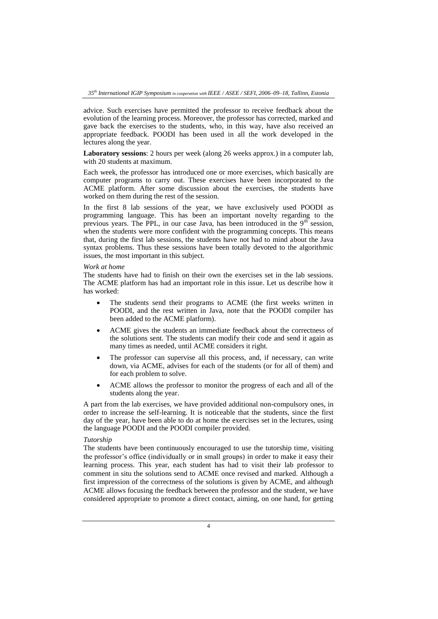advice. Such exercises have permitted the professor to receive feedback about the evolution of the learning process. Moreover, the professor has corrected, marked and gave back the exercises to the students, who, in this way, have also received an appropriate feedback. POODI has been used in all the work developed in the lectures along the year.

**Laboratory sessions**: 2 hours per week (along 26 weeks approx.) in a computer lab, with 20 students at maximum.

Each week, the professor has introduced one or more exercises, which basically are computer programs to carry out. These exercises have been incorporated to the ACME platform. After some discussion about the exercises, the students have worked on them during the rest of the session.

In the first 8 lab sessions of the year, we have exclusively used POODI as programming language. This has been an important novelty regarding to the previous years. The PPL, in our case Java, has been introduced in the  $9<sup>th</sup>$  session, when the students were more confident with the programming concepts. This means that, during the first lab sessions, the students have not had to mind about the Java syntax problems. Thus these sessions have been totally devoted to the algorithmic issues, the most important in this subject.

#### *Work at home*

The students have had to finish on their own the exercises set in the lab sessions. The ACME platform has had an important role in this issue. Let us describe how it has worked:

- The students send their programs to ACME (the first weeks written in POODI, and the rest written in Java, note that the POODI compiler has been added to the ACME platform).
- ACME gives the students an immediate feedback about the correctness of the solutions sent. The students can modify their code and send it again as many times as needed, until ACME considers it right.
- The professor can supervise all this process, and, if necessary, can write down, via ACME, advises for each of the students (or for all of them) and for each problem to solve.
- ACME allows the professor to monitor the progress of each and all of the students along the year.

A part from the lab exercises, we have provided additional non-compulsory ones, in order to increase the self-learning. It is noticeable that the students, since the first day of the year, have been able to do at home the exercises set in the lectures, using the language POODI and the POODI compiler provided.

## *Tutorship*

The students have been continuously encouraged to use the tutorship time, visiting the professor's office (individually or in small groups) in order to make it easy their learning process. This year, each student has had to visit their lab professor to comment in situ the solutions send to ACME once revised and marked. Although a first impression of the correctness of the solutions is given by ACME, and although ACME allows focusing the feedback between the professor and the student, we have considered appropriate to promote a direct contact, aiming, on one hand, for getting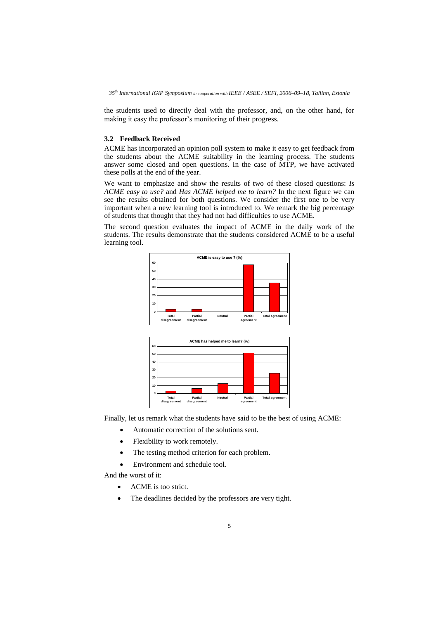the students used to directly deal with the professor, and, on the other hand, for making it easy the professor's monitoring of their progress.

#### **3.2 Feedback Received**

ACME has incorporated an opinion poll system to make it easy to get feedback from the students about the ACME suitability in the learning process. The students answer some closed and open questions. In the case of MTP, we have activated these polls at the end of the year.

We want to emphasize and show the results of two of these closed questions: *Is ACME easy to use?* and *Has ACME helped me to learn?* In the next figure we can see the results obtained for both questions. We consider the first one to be very important when a new learning tool is introduced to. We remark the big percentage of students that thought that they had not had difficulties to use ACME.

The second question evaluates the impact of ACME in the daily work of the students. The results demonstrate that the students considered ACME to be a useful learning tool.



Finally, let us remark what the students have said to be the best of using ACME:

**Neutral Partial agreement**

**Total agree** 

- Automatic correction of the solutions sent.
- Flexibility to work remotely.

**Total disagreement**

• The testing method criterion for each problem.

**Partial disagreement**

Environment and schedule tool.

And the worst of it:

• ACME is too strict.

**0 10 20**

The deadlines decided by the professors are very tight.